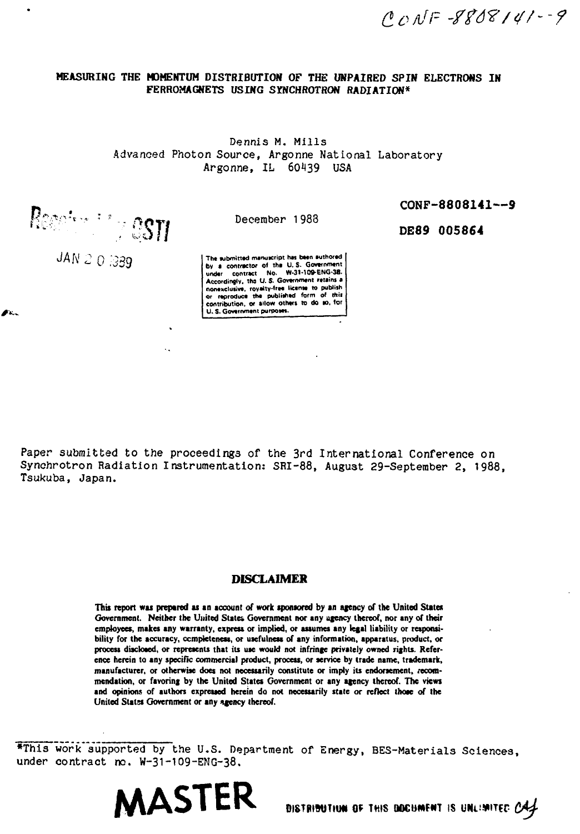$CONF - S8OS141 - 9$ 

## **MEASURING THE MOMENTUM DISTRIBUTION OF THE UNPAIRED SPIN ELECTRONS IN FERROMAGNETS USING SYNCHROTRON RADIATION\***

Dennis M. Mills Advanced Photon Source, Argonne National Laboratory Argonne, IL 60439 USA

December 1983

**CONP-8808141—9**

**OE89 005864**

The submitted manuscript has been suthored<br>by a contractor of the U.S. Government<br>under contract No. W-31-109-ENG-38.<br>Accordingly, the U.S. Government retains a<br>nonexclusive, royalty-free license to publish or reproduce the published form of this contribution, or allow others to do so, for **U. S. Gownmant purpoias.**

Paper submitted to the proceedings of the 3rd International Conference on Synchrotron Radiation Instrumentation: SRI-88, August 29-September 2, 1988, Tsukuba, Japan.

# **DISCLAIMER**

This report was prepared as an account of work sponsored by an agency of the United States **Government. Neither the Uuited States Government nor any agency thereof, nor any of their employees, makes any warranty, express or implied, or assumes any legal liability or responsibility for the accuracy, completeness, or usefulness of any information, apparatus, product, or process disclosed, or represents that its use would not infringe privately owned rights. Reference herein to any specific commercial product, process, or service by trade name, trademark, manufacturer, or otherwise does not necessarily constitute or imply its endorsement, recommendation, or favoring by the United States Government or any agency thereof. The views and opinions of authors expressed herein do not necessarily state or reflect those of the United Statss Government or any agency thereof.**

\*This work supported by the U.S. Department of Energy, BES-Materials Sciences, under contract no. W-31-1O9-ENG-38.

**MASTER** DISTRIBUTION OF THIS DOCUMENT IS UNLIMITED CALL

Respiration of CSTI

*0'339*

 $\ddot{\phantom{a}}$ 

**\*•\*-**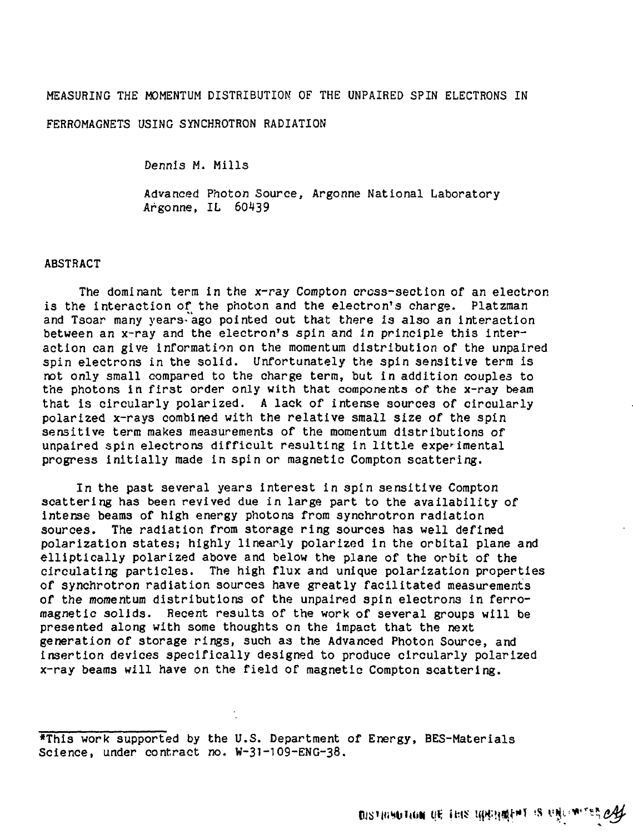### MEASURING THE MOMENTUM DISTRIBUTION' OF THE UNPAIRED SPIN ELECTRONS IN

FERROMAGNETS USING SYNCHROTRON RADIATION

Dennis M. Mills

Advanced Photon Source, Argonne National Laboratory Argonne, IL 60439

## ABSTRACT

The dominant term in the x-ray Compton cress-section of an electron is the interaction of the photon and the electron's charge. Platzman and Tsoar many years-ago pointed out that there is also an interaction between an x-ray and the electron's spin and in principle this interaction can give information on the momentum distribution of the unpaired spin electrons in the solid. Unfortunately the spin sensitive term is not only small compared to the charge term, but in addition couples to the photons in first order only with that components of the x-ray beam that is circularly polarized. A lack of intense sources of circularly polarized x-rays combined with the relative small size of the spin sensitive term makes measurements of the momentum distributions of unpaired spin electrons difficult resulting in little experimental progress initially made in spin or magnetic Compton scattering.

In the past several years interest in spin sensitive Compton scattering has been revived due in large part to the availability of intense beams of high energy photons from synchrotron radiation sources. The radiation from storage ring sources has well defined polarization states; highly linearly polarized in the orbital plane and elliptically polarized above and below the plane of the orbit of the circulating particles. The high flux and unique polarization properties of synchrotron radiation sources have greatly facilitated measurements of the momentum distributions of the unpaired spin electrons in ferromagnetic solids. Recent results of the work of several groups will be presented along with some thoughts on the impact that the next generation of storage rings, such as the Advanced Photon Source, and insertion devices specifically designed to produce circularly polarized x-ray beams will have on the field of magnetic Compton scattering.

\*This work supported by the U.S. Department of Energy, BES-Materials Science, under contract no. W-31-109-ENG-38.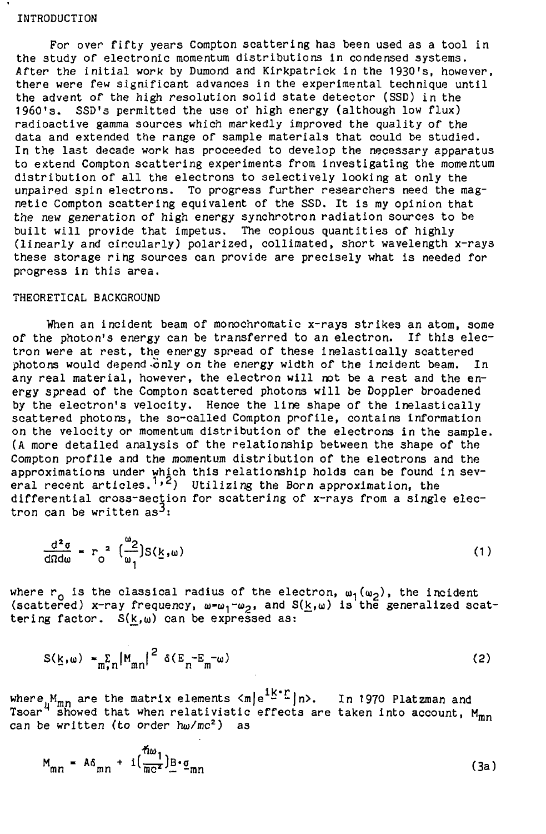### INTRODUCTION

For over fifty years Compton scattering has been used as a tool in the study of electronic momentum distributions in condensed systems. After the initial work by Dumond and Kirkpatrick in the 1930's, however, there were few significant advances in the experimental technique until the advent of the high resolution solid state detector (SSD) in the 196O's. SSD's permitted the use of high energy (although low flux) radioactive gamma sources which markedly improved the quality of the data and extended the range of sample materials that could be studied. In the last decade work has proceeded to develop the necessary apparatus to extend Compton scattering experiments from investigating the momentum distribution of all the electrons to selectively looking at only the unpaired spin electrons. To progress further researchers need the magnetic Compton scattering equivalent of the SSD. It is my opinion that the new generation of high energy synchrotron radiation sources to be built will provide that impetus. The copious quantities of highly (linearly and circularly) polarized, collimated, short wavelength x-rays these storage ring sources can provide are precisely what is needed for progress in this area.

### THEORETICAL BACKGROUND

When an incident beam of monochromatic x-rays strikes an atom, some of the photon's energy can be transferred to an electron. If this electron were at rest, the energy spread of these inelastically scattered photons would depend only on the energy width of the incident beam. In any real material, however, the electron will not be a rest and the energy spread of the Compton scattered photons will be Doppler broadened by the electron's velocity. Hence the line shape of the inelastically scattered photons, the so-called Compton profile, contains information on the velocity or momentum distribution of the electrons in the sample. (A more detailed analysis of the relationship between the shape of the Compton profile and the momentum distribution of the electrons and the approximations under which this relationship holds can be found in several recent articles.<sup>1,2</sup>) Utilizing the Born approximation, the differential cross-section for scattering of x-rays from a single electron can be written as<sup>3</sup>:

$$
\frac{d^2\sigma}{d\Omega d\omega} = r_0^2 \left(\frac{\omega_2}{\omega_1}\right) S(\underline{k}, \omega) \tag{1}
$$

where  $r_0$  is the classical radius of the electron,  $\omega_1(\omega_2)$ , the incident (scattered) x-ray frequency,  $\omega = \omega_1 - \omega_2$ , and S(k,w) is the generalized scattering factor. *S(k\_,oi)* can be expressed as:

$$
S(\underline{k},\omega) = \sum_{m,n} [M_{mn}]^2 \delta(E_n - E_m - \omega) \tag{2}
$$

where  $M_{mn}$  are the matrix elements  $\langle m|e^{i\underline{k}\cdot\frac{r}{n}}|n\rangle$ . In 1970 Platzman and Tsoar<sup>4</sup> showed that when relativistic effects are taken into account, M<sub>mn</sub> can be written (to order hw/mc<sup>2</sup>) as

$$
M_{mn} = A\delta_{mn} + i\left(\frac{\hbar\omega_1}{mc^2}\right)B \cdot \underline{\sigma}_{mn}
$$
 (3a)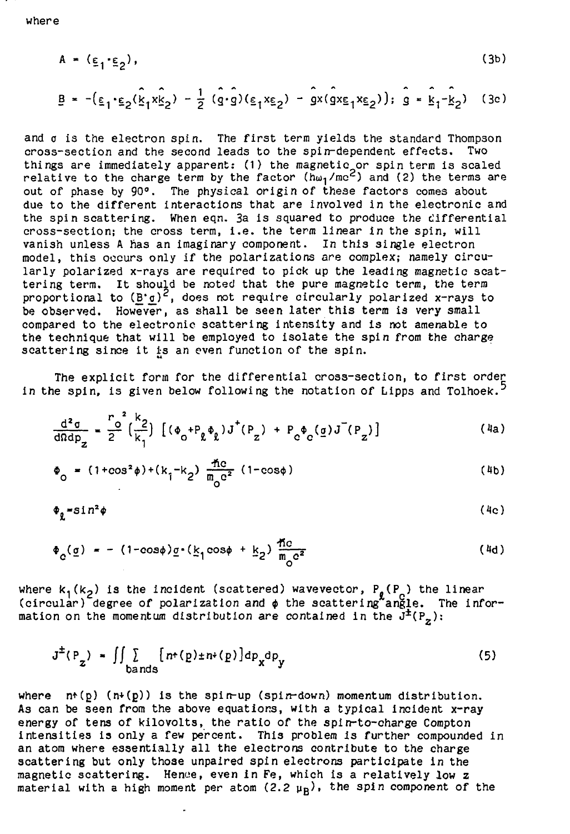$$
A = (\underline{\epsilon}_1 \cdot \underline{\epsilon}_2), \tag{3b}
$$

$$
\underline{B} = -(\underline{\epsilon}_{1} \cdot \underline{\epsilon}_{2}(\hat{\underline{k}}_{1} \hat{x} \hat{\underline{k}}_{2}) - \frac{1}{2} (\hat{g} \cdot \hat{g})(\underline{\epsilon}_{1} \hat{x} \underline{\epsilon}_{2}) - \hat{g}x(\hat{g}x \underline{\epsilon}_{1} \hat{x} \underline{\epsilon}_{2})]; \quad \hat{g} = \hat{\underline{k}}_{1} - \hat{\underline{k}}_{2}
$$
 (3c)

and  $\sigma$  is the electron spin. The first term yields the standard Thompson cross-section and the second leads to the spin-dependent effects. Two cross-section and the second leads to the spin-dependent effects. things are immediately apparent: (1) the magnetic or spin term is scaled relative to the charge term by the factor  $(h\omega_1/mc^2)$  and (2) the terms are out of phase by 90°. The physical origin of these factors comes about due to the different interactions that are involved in the electronic and the spin scattering. When eqn. 3a is squared to produce the differential cross-section; the cross term, i.e. the term linear in the spin, will vanish unless A has an imaginary component. In this single electron model, this occurs only if the polarizations are complex; namely circularly polarized x-rays are required to pick up the leading magnetic scattering term. It should be noted that the pure magnetic term, the term proportional to (B'o)<sup>2</sup>, does not require circularly polarized x-rays to be observed. However, as shall be seen later this term is very small compared to the electronic scattering intensity and is not amenable to the technique that will be employed to isolate the spin from the charge scattering since it is an even function of the spin.

The explicit form for the differential cross-section, to first order in the spin, is given below following the notation of Lipps and Tolhoek.<sup>5</sup>

$$
\frac{d^2\sigma}{d\Omega dp_z} = \frac{r_o}{2} \left(\frac{k_2}{k_1}\right) \left[ (\phi_o + P_g \phi_g) J^{\dagger}(P_z) + P_o \phi_o(g) J^{\dagger}(P_z) \right]
$$
 (4a)

$$
\Phi_0 = (1 + \cos^2 \phi) + (k_1 - k_2) \frac{\pi c}{m_0 c^2} (1 - \cos \phi)
$$
 (4b)

$$
\Phi_{\mathbf{g}} = \sin^2 \phi \tag{4c}
$$

$$
\Phi_{\mathcal{C}}(\underline{\sigma}) = - (1-\cos\phi)\underline{\sigma} \cdot (\underline{k}_1\cos\phi + \underline{k}_2) \frac{\pi c}{m_0 c^2}
$$
 (4d)

where  $k_1(k_2)$  is the incident (scattered) wavevector,  $P_g(P_n)$  the linear (circular) degree of polarization and  $\phi$  the scattering angle. The information on the momentum distribution are contained in the  $J^{\pm}(P_{\infty})$ :

$$
J^{\pm}(P_{z}) = \iint \sum_{\text{bands}} [n^{+}(p) \pm n^{+}(p)] dp_{x} dp_{y}
$$
 (5)

where  $n+(p)$  ( $n+(p)$ ) is the spin-up (spin-down) momentum distribution. As can be seen from the above equations, with a typical incident x-ray energy of tens of kilovolts, the ratio of the spin-to-charge Compton intensities is only a few percent. This problem is further compounded in an atom where essentially all the electrons contribute to the charge scattering but only those unpaired spin electrons participate in the magnetic scattering. Hence, even in Fe, which is a relatively low z material with a high moment per atom (2.2  $\mu$ B), the spin component of the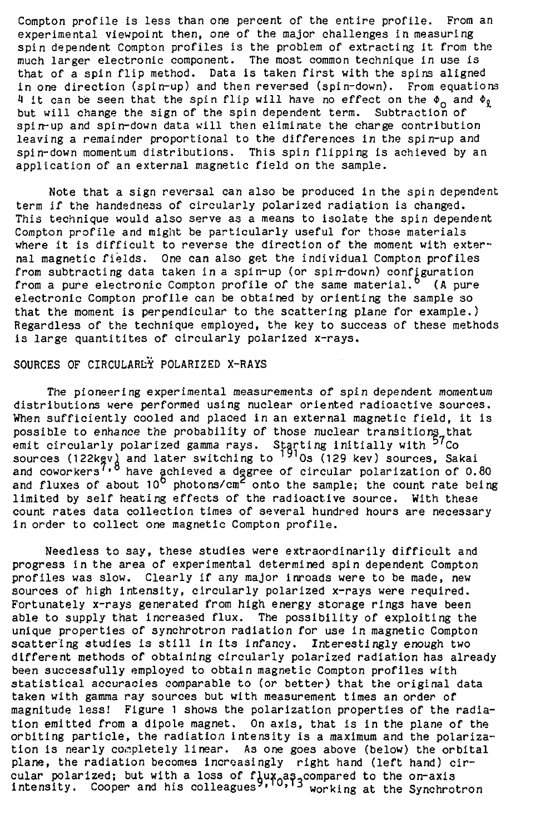Compton profile is less than one percent of the entire profile. From an experimental viewpoint then, one of the major challenges in measuring spin dependent Compton profiles is the problem of extracting it from the much larger electronic component. The most common technique in use is that of a spin flip method. Data is taken first with the spins aligned in one direction (spin-up) and then reversed (spin-down). From equations 4 it can be seen that the spin flip will have no effect on the  $\Phi_{0}$  and  $\Phi_{0}$ but will change the sign of the spin dependent term. Subtraction of spin-up and spin-down data will then eliminate the charge contribution leaving a remainder proportional to the differences in the spin-up and spin-down momentum distributions. This spin flipping is achieved by an application of an external magnetic field on the sample.

Note that a sign reversal can also be produced in the spin dependent term if the handsdness of circularly polarized radiation is changed. This technique would also serve as a means to isolate the spin dependent Compton profile and might be particularly useful for those materials where it is difficult to reverse the direction of the moment with external magnetic fields. One can also get the individual Compton profiles from subtracting data taken in a spin-up (or spin-down) configuration from a pure electronic Compton profile of the same material.<sup>5</sup> (A pure electronic Compton profile can be obtained by orienting the sample so that the moment is perpendicular to the scattering plane for example.) Regardless of the technique employed, the key to success of these methods is large quantitites of circularly polarized x-rays.

# SOURCES OF CIRCULARLY POLARIZED X-RAYS

The pioneering experimental measurements of spin dependent momentum distributions were performed using nuclear oriented radioactive sources. When sufficiently cooled and placed in an external magnetic field, it is possible to enhance the probability of those nuclear transitions that emit circularly polarized gamma rays. Starting initially with <sup>51</sup>Co sources (122k<u>e</u>v) and later switching to <sup>191</sup>Os (129 kev) sources, Sakai and coworkers<sup>7,8</sup> have achieved a degree of circular polarization of 0.80 and fluxes of about  $10^6$  photons/cm<sup>2</sup> onto the sample; the count rate being limited by self heating effects of the radioactive source. With these count rates data collection times of several hundred hours are necessary in order to collect one magnetic Compton profile.

Needless to say, these studies were extraordinarily difficult and progress in the area of experimental determined spin dependent Compton profiles was slow. Clearly if any major inroads were to be made, new sources of high intensity, circularly polarized x-rays were required. Fortunately x-rays generated from high energy storage rings have been able to supply that increased flux. The possibility of exploiting the unique properties of synchrotron radiation for use in magnetic Compton scattering studies is still in its infancy. Interestingly enough two different methods of obtaining circularly polarized radiation has already been successfully employed to obtain magnetic Compton profiles with statistical accuracies comparable to (or better) that the original data taken with gamma ray sources but with measurement times an order of magnitude less! Figure 1 shows the polarization properties of the radiation emitted from a dipole magnet. On axis, that is in the plane of the orbiting particle, the radiation intensity is a maximum and the polarization is nearly completely linear. As one goes above (below) the orbital plane, the radiation becomes increasingly right hand (left hand) circular polarized; but with a loss of flux as compared to the on-axis intensity. Cooper and his colleagues<sup>9,10,13</sup> working at the Synchrotron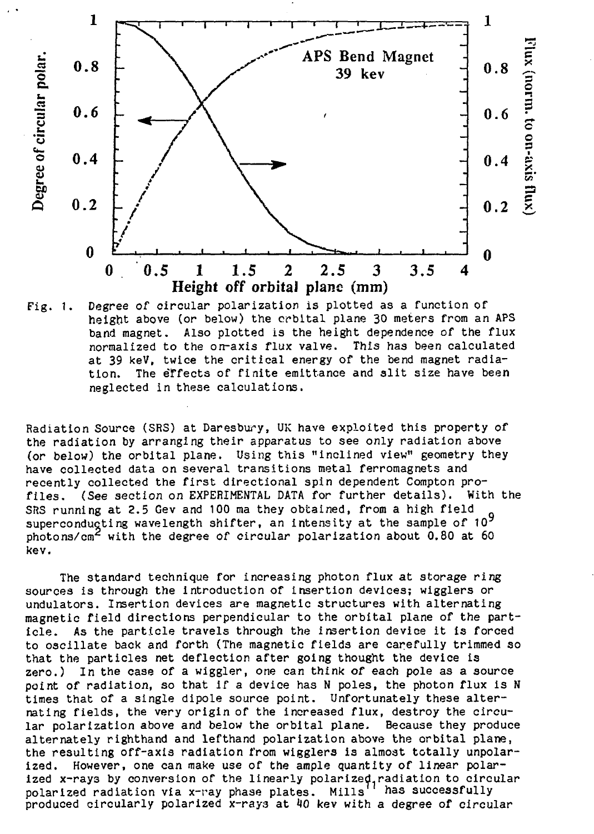



Radiation Source (SRS) at Daresbury, UK have exploited this property of the radiation by arranging their apparatus to see only radiation above (or below) the orbital plane. Using this "inclined view" geometry they have collected data on several transitions metal ferromagnets and recently collected the first directional spin dependent Compton profiles. (See section on EXPERIMENTAL DATA for further details). With the SRS running at 2.5 Gev and 100 ma they obtained, from a high field superconducting wavelength shifter, an intensity at the sample of  $10^9$ photons/cm<sup>2</sup> with the degree of circular polarization about 0.80 at 60 kev.

The standard technique for increasing photon flux at storage ring sources is through the introduction of insertion devices; wigglers or undulators. Insertion devices are magnetic structures with alternating magnetic field directions perpendicular to the orbital plane of the particle. As the particle travels through the insertion device it is forced to oscillate back and forth (The magnetic fields are carefully trimmed so that the particles net deflection after going thought the device is zero.) In the case of a wiggler, one can think of each pole as a source point of radiation, so that if a device has N poles, the photon flux is N times that of a single dipole source point. Unfortunately these alternating fields, the very origin of the increased flux, destroy the circular polarization above and below the orbital plane. Because they produce alternately righthand and lefthand polarization above the orbital plane, the resulting off-axis radiation from wigglers is almost totally unpolarized. However, one can make use of the ample quantity of linear polarized x-rays by conversion of the linearly polarized.radiation to circular polarized radiation via x-ray phase plates. Mills<sup>''</sup> has successfully polarized radiation via x-ray phase plates. Mills<sup>''</sup> has successfully<br>produced circularly polarized x-rays at 40 kev with a degree of circular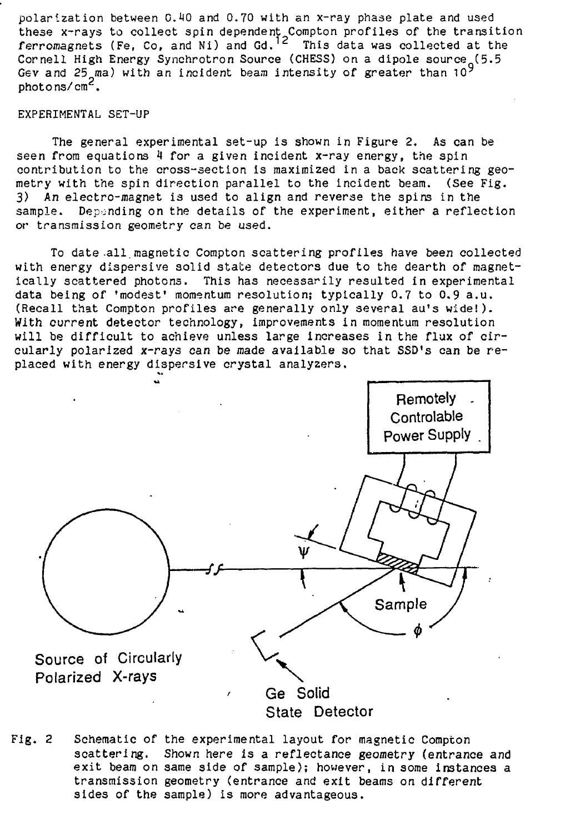polarization between 0.40 and 0.70 with an x-ray phase plate and used these x-rays to collect spin dependent Compton profiles of the transition ferromagnets (Fe, Co, and Ni) and Gd.  $^{12}$  This data was collected at the Cornell High Energy Synchrotron Source (CHESS) on a dipole source (5.5 Gev and 25 ma) with an incident beam intensity of greater than 10<sup>9</sup>  $photons/cm<sup>2</sup>$ .

### EXPERIMENTAL SET-UP

The general experimental set-up is shown in Figure 2. As can be seen from equations  $4$  for a given incident x-ray energy, the spin contribution to the cross-section is maximized in a back scattering geometry with the spin direction parallel to the incident beam. (See Fig. 3) An electro-magnet is used to align and reverse the spins in the sample. Depending on the details of the experiment, either a reflection or transmission geometry can be used.

To date-all.magnetic Compton scattering profiles have been collected with energy dispersive solid state detectors due to the dearth of magnetically scattered photons. This has necessarily resulted in experimental data being of 'modest' momentum resolution; typically 0.7 to 0.9 a.u. (Recall that Compton profiles are generally only several au's wide!). With current detector technology, improvements in momentum resolution will be difficult to achieve unless large increases in the flux of circularly polarized x-rays can be made available so that SSD's can be replaced with energy dispersive crystal analyzers.



Fig. 2 Schematic of the experimental layout for magnetic Compton scattering. Shown here is a reflectance geometry (entrance and exit beam on same side of sample); however, in some instances a transmission geometry (entrance and exit beams on different sides of the sample) is more advantageous.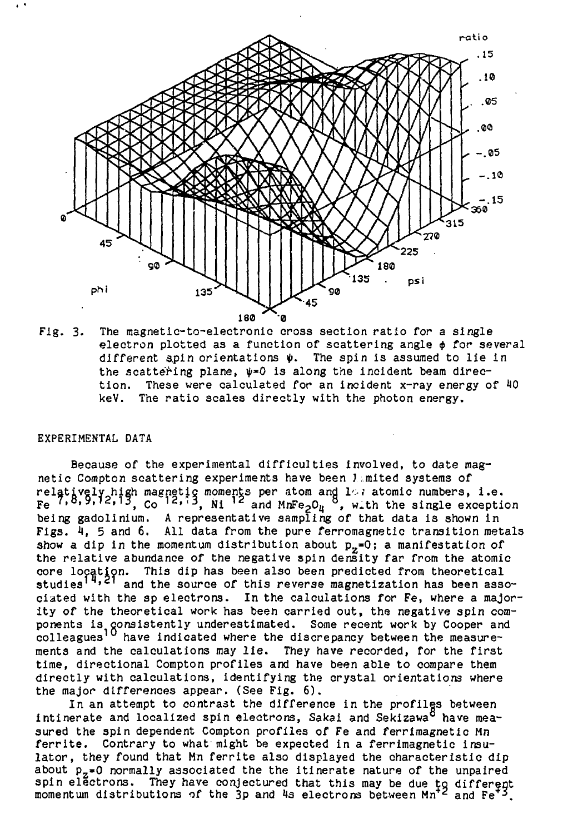

Fig. 3. The magnetic-to-electronic cross section ratio for a single electron plotted as a function of scattering angle  $\phi$  for several different apin orientations  $\psi$ . The spin is assumed to lie in the scattering plane,  $\psi=0$  is along the incident beam direction. These were calculated for an incident  $x$ -ray energy of 40 keV. The ratio scales directly with the photon energy.

## EXPERIMENTAL DATA

Because of the experimental difficulties involved, to date magnetic Compton scattering experiments have been limited systems of relatively high magnetic moments per atom and  $1\circ$ , atomic numbers, i.e. Fe  $7, 6, 9, 12, 13$ , Co  $12, 13$ , Ni  $14$  and MnFe<sub>2</sub>O<sub>h</sub> <sup>O</sup>, with the single exceptio being gadolinium. A representative sampling of that data is shown in Figs. 4, 5 and 6. All data from the pure ferromagnetic transition metals show a dip in the momentum distribution about  $p<sub>p</sub> = 0$ ; a manifestation of the relative abundance of the negative spin density far from the atomic core location. This dip has been also been predicted from theoretical studies<sup>! 4, Z</sup>' and the source of this reverse magnetization has been associated with the sp electrons. In the calculations for Fe, where a majority of the theoretical work has been carried out, the negative spin components Is consistently underestimated. Some recent work by Cooper and colleagues'<sup>0</sup> have indicated where the discrepancy between the measurements and the calculations may lie. They have recorded, for the first time, directional Compton profiles and have been able to compare them directly with calculations, identifying the crystal orientations where the major differences appear. (See Fig. 6) .

In an attempt to contrast the difference in the profiles between intinerate and localized spin electrons, Sakai and Sekizawa<sup>o</sup> have measured the spin dependent Compton profiles of Fe and ferrimagnetic Mn ferrite. Contrary to what might be expected in a ferrimagnetic insulator, they found that Mn ferrite also displayed the characteristic dip about p<sub>r</sub>=0 normally associated the the itinerate nature of the unpaired spin electrons. They have conjectured that this may be due to different momentum distributions of the 3p and 4s electrons between  $\texttt{Mn}^{\texttt{+}}{}^{\texttt{}}$  and Fe $^{\texttt{+}}{}^{\texttt{}}$ .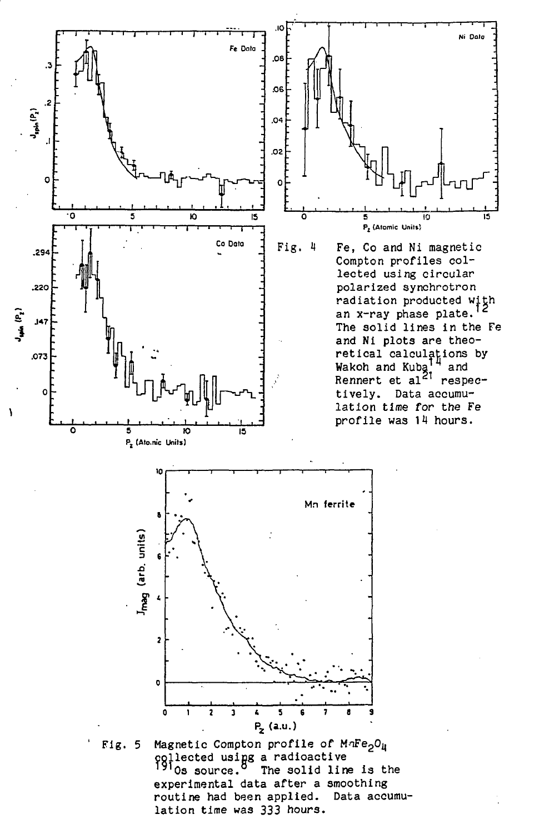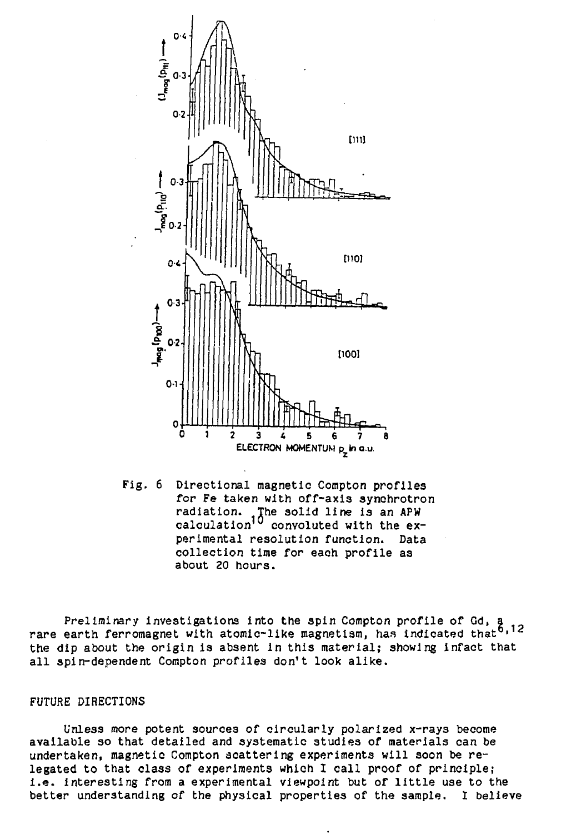

Fig. 6 Directional magnetic Compton profiles for Fe taken with off-axis synchrotron radiation. The solid line is an APW calculation<sup>10</sup> convoluted with the experimental resolution function. Data collection time for each profile as about 20 hours.

Preliminary investigations into the spin Compton profile of Gd, a rare earth ferromagnet with atomic-like magnetism, has indicated that  $\vec{b}$ , 12 the dip about the origin is absent in this material; showing infact that all spin-dependent Compton profiles don't look alike.

### FUTURE DIRECTIONS

Unless more potent sources of circularly polarized x-rays become available so that detailed and systematic studies of materials can be undertaken, magnetic Compton scattering experiments will soon be relegated to that class of experiments which I call proof of principle; i.e. interesting from a experimental viewpoint but of little use to the better understanding of the physical properties of the sample. 1 believe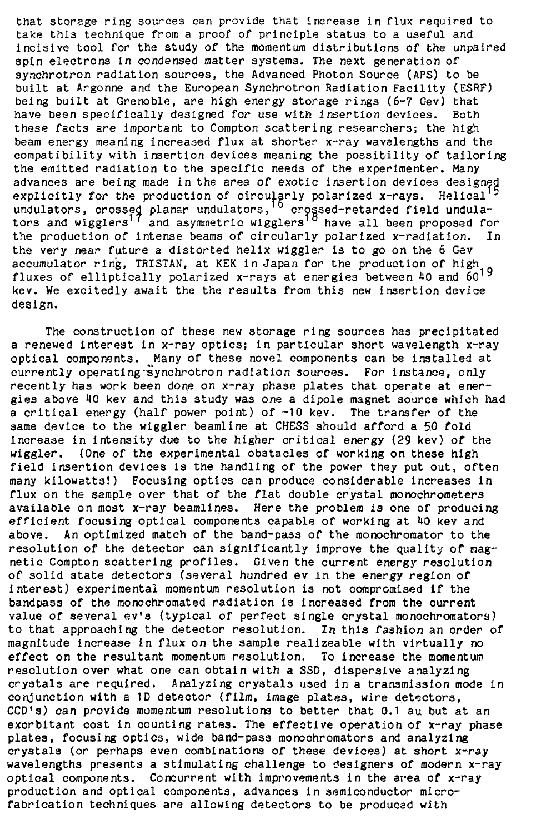that storage ring sources can provide that increase in flux required to take this technique from a proof of principle status to a useful and incisive tool for the study of the momentum distributions of the unpaired spin electrons in condensed matter systems. The next generation of synchrotron radiation sources, the Advanced Photon Source (APS) to be built at Argonne and the European Synchrotron Radiation Facility (ESRF) being built at Grenoble, are high energy storage rings (6-7 Gev) that have been specifically designed for use with insertion devices. Both these facts are important to Compton scattering researchers; the high beam energy meaning increased flux at shorter x-ray wavelengths and the compatibility with insertion devices meaning the possibility of tailoring the emitted radiation to the specific needs of the experimenter. Many advances are being made in the area of exotic insertion devices designed<br>explicitly for the production of circularly polarized x-ravs. Helical<sup>15</sup> explicitly for the production of circularly polarized x-rays. Helical<sup>15</sup> undulators, crossed planar undulators,<sup>10</sup> crossed-retarded field undulators and wigglers<sup>17</sup> and asymmetric wigglers<sup>18</sup> have all been proposed for the production of intense beams of circularly polarized x-radiation. In the very near future a distorted helix wiggler is to go on the 6 Gev accumulator ring, TRISTAN, at KEK in Japan for the production of high fluxes of elliptically polarized x-rays at energies between 40 and 60<sup>19</sup> kev. We excitedly await the the results from this new insertion device design.

The construction of these new storage ring sources has precipitated a renewed interest in x-ray optics; in particular short wavelength x-ray optical components. Many of these novel components can be installed at currently operating-synchrotron radiation sources. For instance, only recently has work been done on x-ray phase plates that operate at energies above 10 kev and this study was one a dipole magnet source which had a critical energy (half power point) of -10 kev. The transfer of the same device to the wiggler beamline at CHESS should afford a 50 fold increase in intensity due to the higher critical energy (29 kev) of the wiggler. (One of the experimental obstacles of working on these high field insertion devices is the handling of the power they put out, often many kilowatts!) Focusing optics can produce considerable increases in flux on the sample over that of the flat double crystal monochrometers available on most x-ray beamlines. Here the problem is one of producing efficient focusing optical components capable of working at 40 kev and above. An optimized match of the band-pa3s of the monochromator to the resolution of the detector can significantly Improve the quality of magnetic Compton scattering profiles. Given the current energy resolution of solid state detectors (several hundred ev In the energy region of interest) experimental momentum resolution Is not compromised if the bandpass of the monochromated radiation is increased from the current value of several ev's (typical of perfect single crystal monochromatora) to that approaching the detector resolution. In this fashion an order of magnitude increase in flux on the sample realizeable with virtually no effect on the resultant momentum resolution. To increase the momentum resolution over what one can obtain with a SSD, dispersive analyzing crystals are required. Analyzing crystals used in a transmission mode in conjunction with a 1D detector (film, image plates, wire detectors, CCD's) can provide momentum resolutions to better that 0.1 au but at an exorbitant cost in counting rates. The effective operation of  $x$ -ray phase plates, focusing optics, wide band-pass monochromators and analyzing crystals (or perhaps even combinations of these devices) at short x-ray wavelengths presents a stimulating challenge to designers of modern x-ray optical components. Concurrent with improvements in the area of x-ray production and optical components, advances in semiconductor microfabrication techniques are allowing detectors to be produced with